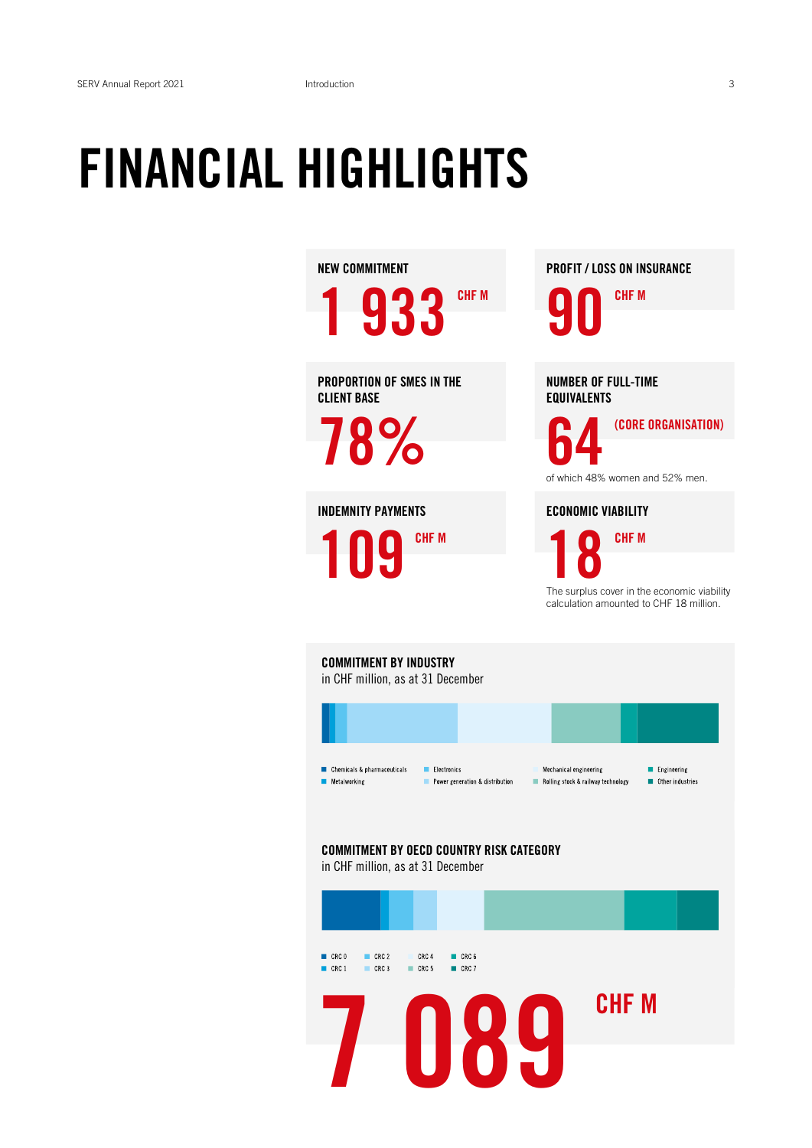## FINANCIAL HIGHLIGHTS

NEW COMMITMENT

1 933 CHE M

PROPORTION OF SMES IN THE CLIENT BASE

78%

INDEMNITY PAYMENTS 109 CHF M PROFIT / LOSS ON INSURANCE

90 CHF M

NUMBER OF FULL-TIME EQUIVALENTS

(CORE ORGANISATION)

of which 48% women and 52% men.

ECONOMIC VIABILITY

18 CHF M

The surplus cover in the economic viability calculation amounted to CHF 18 million.

COMMITMENT BY INDUSTRY in CHF million, as at 31 December



COMMITMENT BY OECD COUNTRY RISK CATEGORY in CHF million, as at 31 December